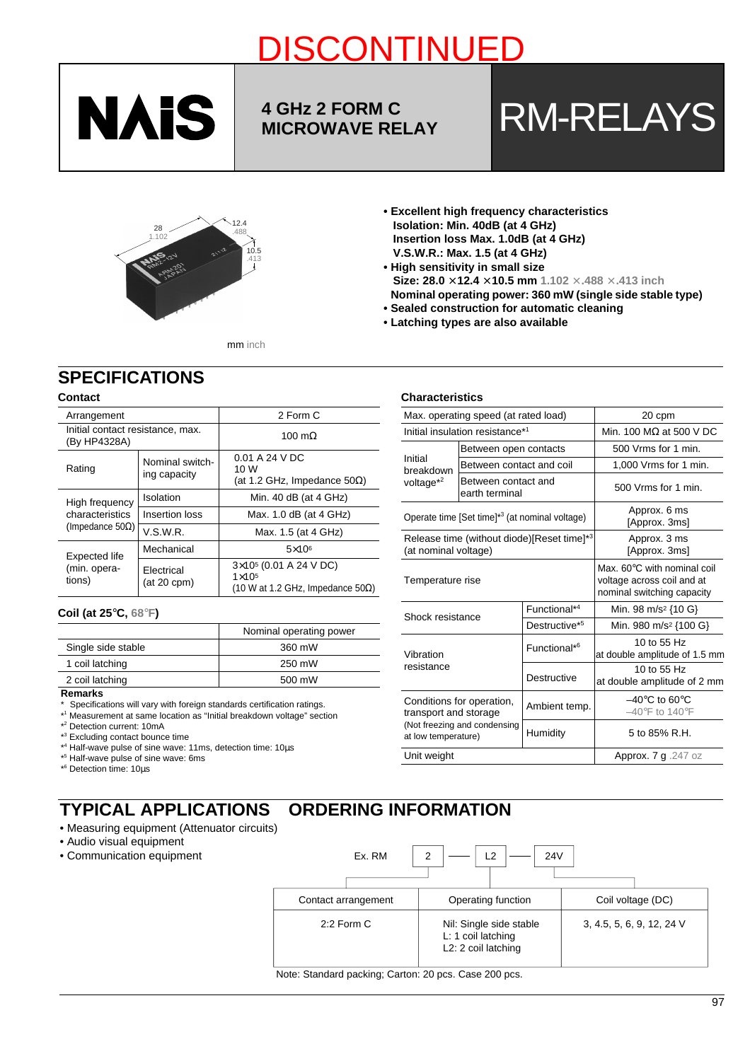

# **4 GHz 2 FORM C**

<u>Discontinued by the continued by the continued by the continued by the continued by the continued by the conti</u>

# **A GHZ 2 FORM C<br>MICROWAVE RELAY RM-RELAYS**



**• Excellent high frequency characteristics Isolation: Min. 40dB (at 4 GHz) Insertion loss Max. 1.0dB (at 4 GHz) V.S.W.R.: Max. 1.5 (at 4 GHz)**

- **High sensitivity in small size Size: 28.0** × **12.4** × **10.5 mm 1.102** × **.488** × **.413 inch Nominal operating power: 360 mW (single side stable type)**
- **Sealed construction for automatic cleaning**
- **Latching types are also available**

#### mm inch

# **SPECIFICATIONS**

## **Contact**

| Arrangement                                      |                                 | 2 Form C                                                                                          |  |  |  |
|--------------------------------------------------|---------------------------------|---------------------------------------------------------------------------------------------------|--|--|--|
| Initial contact resistance, max.<br>(By HP4328A) |                                 | 100 m $\Omega$                                                                                    |  |  |  |
| Rating                                           | Nominal switch-<br>ing capacity | $0.01 A$ 24 V DC<br>10 W<br>(at 1.2 GHz, Impedance $50\Omega$ )                                   |  |  |  |
| High frequency                                   | Isolation                       | Min. 40 $dB$ (at 4 GHz)                                                                           |  |  |  |
| characteristics                                  | Insertion loss                  | Max. 1.0 dB (at 4 GHz)                                                                            |  |  |  |
| (Impedance 50 $\Omega$ )                         | V.S.W.R.                        | Max. 1.5 (at 4 GHz)                                                                               |  |  |  |
| Expected life                                    | Mechanical                      | $5\times10^6$                                                                                     |  |  |  |
| (min. opera-<br>tions)                           | Electrical<br>$(at 20$ cpm $)$  | $3\times10^{5}$ (0.01 A 24 V DC)<br>$1 \times 10^{5}$<br>(10 W at 1.2 GHz, Impedance $50\Omega$ ) |  |  |  |

#### **Coil (at 25**°**C, 68**°**F)**

|                    | Nominal operating power |
|--------------------|-------------------------|
| Single side stable | 360 mW                  |
| 1 coil latching    | 250 mW                  |
| 2 coil latching    | 500 mW                  |

#### **Remarks**

- \* Specifications will vary with foreign standards certification ratings.
- \* 1 Measurement at same location as "Initial breakdown voltage" section
- \* 2 Detection current: 10mA
- \* 3 Excluding contact bounce time
- \* 4 Half-wave pulse of sine wave: 11ms, detection time: 10µs
- \* 5 Half-wave pulse of sine wave: 6ms
- \* 6 Detection time: 10µs

#### **TYPICAL APPLICATIONS ORDERING INFORMATION**

- Measuring equipment (Attenuator circuits)
- Audio visual equipment
- Communication equipment

| Ex. RM              | 24 <sub>V</sub><br>2<br>12                                           |                           |
|---------------------|----------------------------------------------------------------------|---------------------------|
| Contact arrangement | Operating function                                                   | Coil voltage (DC)         |
| $2:2$ Form C        | Nil: Single side stable<br>L: 1 coil latching<br>L2: 2 coil latching | 3, 4.5, 5, 6, 9, 12, 24 V |

Note: Standard packing; Carton: 20 pcs. Case 200 pcs.

### **Characteristics**

|                                                                                                           | Max. operating speed (at rated load)                       | 20 cpm                         |                                                                                                   |  |
|-----------------------------------------------------------------------------------------------------------|------------------------------------------------------------|--------------------------------|---------------------------------------------------------------------------------------------------|--|
|                                                                                                           | Initial insulation resistance*1                            | Min. 100 $M\Omega$ at 500 V DC |                                                                                                   |  |
|                                                                                                           | Between open contacts                                      |                                | 500 Vrms for 1 min.                                                                               |  |
| Initial<br>breakdown                                                                                      | Between contact and coil                                   |                                | 1,000 Vrms for 1 min.                                                                             |  |
| voltage $*^2$                                                                                             | Between contact and<br>earth terminal                      |                                | 500 Vrms for 1 min.                                                                               |  |
|                                                                                                           | Operate time [Set time]* <sup>3</sup> (at nominal voltage) |                                | Approx. 6 ms<br>[Approx. 3ms]                                                                     |  |
| (at nominal voltage)                                                                                      | Release time (without diode)[Reset time]*3                 | Approx. 3 ms<br>[Approx. 3ms]  |                                                                                                   |  |
| Temperature rise                                                                                          |                                                            |                                | Max. $60^{\circ}$ C with nominal coil<br>voltage across coil and at<br>nominal switching capacity |  |
| Shock resistance                                                                                          |                                                            | Functional* <sup>4</sup>       | Min. 98 m/s <sup>2</sup> {10 G}                                                                   |  |
|                                                                                                           |                                                            | Destructive <sup>*5</sup>      | Min. 980 m/s <sup>2</sup> {100 G}                                                                 |  |
| Vibration<br>resistance                                                                                   |                                                            | Functional* <sup>6</sup>       | 10 to 55 Hz<br>at double amplitude of 1.5 mm                                                      |  |
|                                                                                                           |                                                            | Destructive                    | 10 to 55 Hz<br>at double amplitude of 2 mm                                                        |  |
| Conditions for operation,<br>transport and storage<br>(Not freezing and condensing<br>at low temperature) |                                                            | Ambient temp.                  | $-40^{\circ}$ C to 60 $^{\circ}$ C<br>$-40^{\circ}$ F to 140 $^{\circ}$ F                         |  |
|                                                                                                           |                                                            | Humidity                       | 5 to 85% R.H.                                                                                     |  |
| Unit weight                                                                                               |                                                            |                                | Approx. 7 g .247 oz                                                                               |  |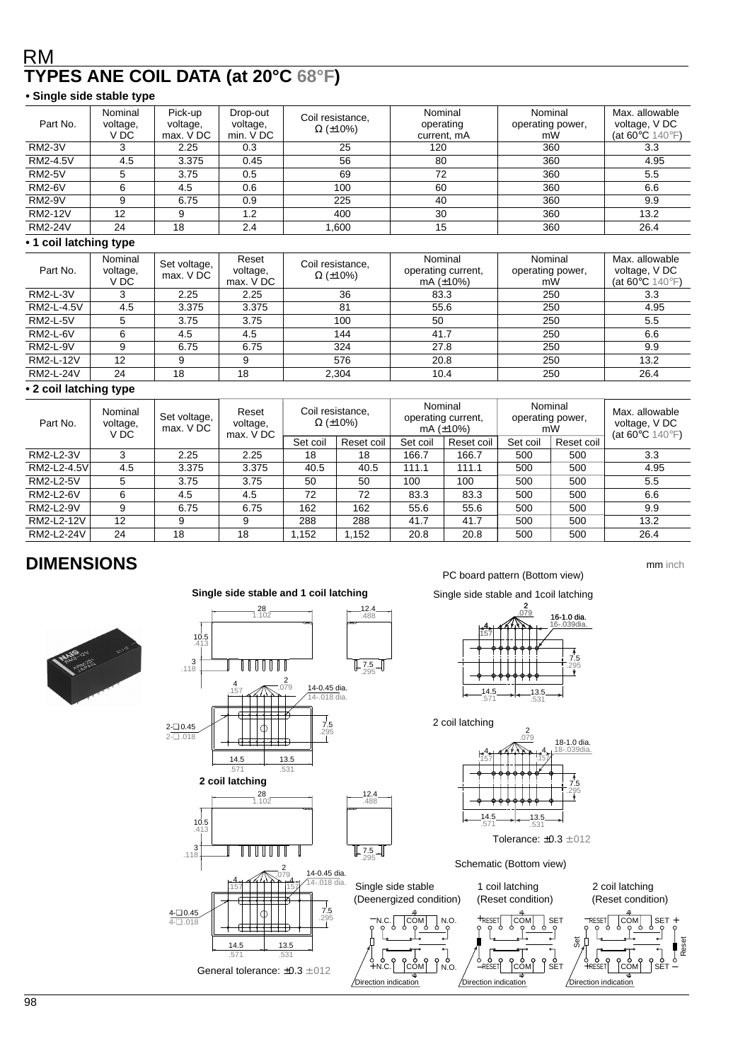# RM **TYPES ANE COIL DATA (at 20°C 68°F)**

## **• Single side stable type**

| Part No.       | Nominal<br>voltage,<br>V DC | Pick-up<br>voltage,<br>max. V DC | Drop-out<br>voltage,<br>min. V DC | Coil resistance,<br>$\Omega$ (±10%) | Nominal<br>operating<br>current, mA | Nominal<br>operating power,<br>mW | Max. allowable<br>voltage, V DC<br>(at 60 $\degree$ C 140 $\degree$ F) |
|----------------|-----------------------------|----------------------------------|-----------------------------------|-------------------------------------|-------------------------------------|-----------------------------------|------------------------------------------------------------------------|
| <b>RM2-3V</b>  |                             | 2.25                             | 0.3                               | 25                                  | 120                                 | 360                               | 3.3                                                                    |
| RM2-4.5V       | 4.5                         | 3.375                            | 0.45                              | 56                                  | 80                                  | 360                               | 4.95                                                                   |
| <b>RM2-5V</b>  |                             | 3.75                             | 0.5                               | 69                                  | 72                                  | 360                               | 5.5                                                                    |
| <b>RM2-6V</b>  |                             | 4.5                              | 0.6                               | 100                                 | 60                                  | 360                               | 6.6                                                                    |
| <b>RM2-9V</b>  |                             | 6.75                             | 0.9                               | 225                                 | 40                                  | 360                               | 9.9                                                                    |
| <b>RM2-12V</b> | 12                          |                                  | 1.2                               | 400                                 | 30                                  | 360                               | 13.2                                                                   |
| <b>RM2-24V</b> | 24                          | 18                               | 2.4                               | 1,600                               | 15                                  | 360                               | 26.4                                                                   |

## **• 1 coil latching type**

| Part No.         | Nominal<br>voltage,<br>V DC | Set voltage,<br>max. V DC | Reset<br>voltage,<br>max. V DC | Coil resistance,<br>$\Omega$ (±10%) | Nominal<br>operating current,<br>mA $(\pm 10\%)$ | Nominal<br>operating power,<br>mW | Max. allowable<br>voltage, V DC<br>(at 60 $\degree$ C 140 $\degree$ F) |
|------------------|-----------------------------|---------------------------|--------------------------------|-------------------------------------|--------------------------------------------------|-----------------------------------|------------------------------------------------------------------------|
| <b>RM2-L-3V</b>  |                             | 2.25                      | 2.25                           | 36                                  | 83.3                                             | 250                               | 3.3                                                                    |
| RM2-L-4.5V       | 4.5                         | 3.375                     | 3.375                          | 81                                  | 55.6                                             | 250                               | 4.95                                                                   |
| <b>RM2-L-5V</b>  |                             | 3.75                      | 3.75                           | 100                                 | 50                                               | 250                               | 5.5                                                                    |
| <b>RM2-L-6V</b>  |                             | 4.5                       | 4.5                            | 144                                 | 41.7                                             | 250                               | 6.6                                                                    |
| <b>RM2-L-9V</b>  |                             | 6.75                      | 6.75                           | 324                                 | 27.8                                             | 250                               | 9.9                                                                    |
| RM2-L-12V        | 12                          | 9                         | 9                              | 576                                 | 20.8                                             | 250                               | 13.2                                                                   |
| <b>RM2-L-24V</b> | 24                          | 18                        | 18                             | 2,304                               | 10.4                                             | 250                               | 26.4                                                                   |

### **• 2 coil latching type**

| Part No.    | Nominal<br>voltage,<br>V DC | Set voltage,<br>max. V DC | Reset<br>voltage,<br>max. VDC | Coil resistance,<br>$\Omega$ (±10%) |            | Nominal<br>operating current,<br>mA $(\pm 10\%)$ |            | Nominal<br>operating power,<br>mW |            | Max. allowable<br>voltage, V DC<br>(at 60 $\degree$ C 140 $\degree$ F) |
|-------------|-----------------------------|---------------------------|-------------------------------|-------------------------------------|------------|--------------------------------------------------|------------|-----------------------------------|------------|------------------------------------------------------------------------|
|             |                             |                           |                               | Set coil                            | Reset coil | Set coil                                         | Reset coil | Set coil                          | Reset coil |                                                                        |
| RM2-L2-3V   | 3                           | 2.25                      | 2.25                          | 18                                  | 18         | 166.7                                            | 166.7      | 500                               | 500        | 3.3                                                                    |
| RM2-L2-4.5V | 4.5                         | 3.375                     | 3.375                         | 40.5                                | 40.5       | 111.1                                            | 111.1      | 500                               | 500        | 4.95                                                                   |
| RM2-L2-5V   | 5                           | 3.75                      | 3.75                          | 50                                  | 50         | 100                                              | 100        | 500                               | 500        | 5.5                                                                    |
| RM2-L2-6V   | 6                           | 4.5                       | 4.5                           | 72                                  | 72         | 83.3                                             | 83.3       | 500                               | 500        | 6.6                                                                    |
| RM2-L2-9V   | 9                           | 6.75                      | 6.75                          | 162                                 | 162        | 55.6                                             | 55.6       | 500                               | 500        | 9.9                                                                    |
| RM2-L2-12V  | 12                          | 9                         | 9                             | 288                                 | 288        | 41.7                                             | 41.7       | 500                               | 500        | 13.2                                                                   |
| RM2-L2-24V  | 24                          | 18                        | 18                            | 1.152                               | 1.152      | 20.8                                             | 20.8       | 500                               | 500        | 26.4                                                                   |

# **DIMENSIONS**



#### 28 12.4 1.102 .488 10.5 .413  $3$ <sub>118</sub> TITUTU 7.5 .295 2 4 .079 14-0.45 dia. 14-.018 dia. .157 7.5 2-❏ 0.45 .295 2-❏ .018 14.5 13.5 .531 .571 **2 coil latching** 12.4 28 1.102 .488 10.5 .413 3<br>118. WWW 7.5 .295 2 14-0.45 dia. .079  $\frac{4}{157}$   $\frac{4}{11}$   $\frac{1}{15}$   $\frac{4}{15}$ 4-.018 dia. 7.5 4-❏ 0.45 − .<br>ז COM 4-❏ .018 ∓ 14.5 13.5 .571 .531  $+N.C.$  COM General tolerance: ±0.3 ±.012

**Single side stable and 1 coil latching**

PC board pattern (Bottom view)

mm inch

Single side stable and 1coil latching





Tolerance: ±0.3 ±.012

Schematic (Bottom view)

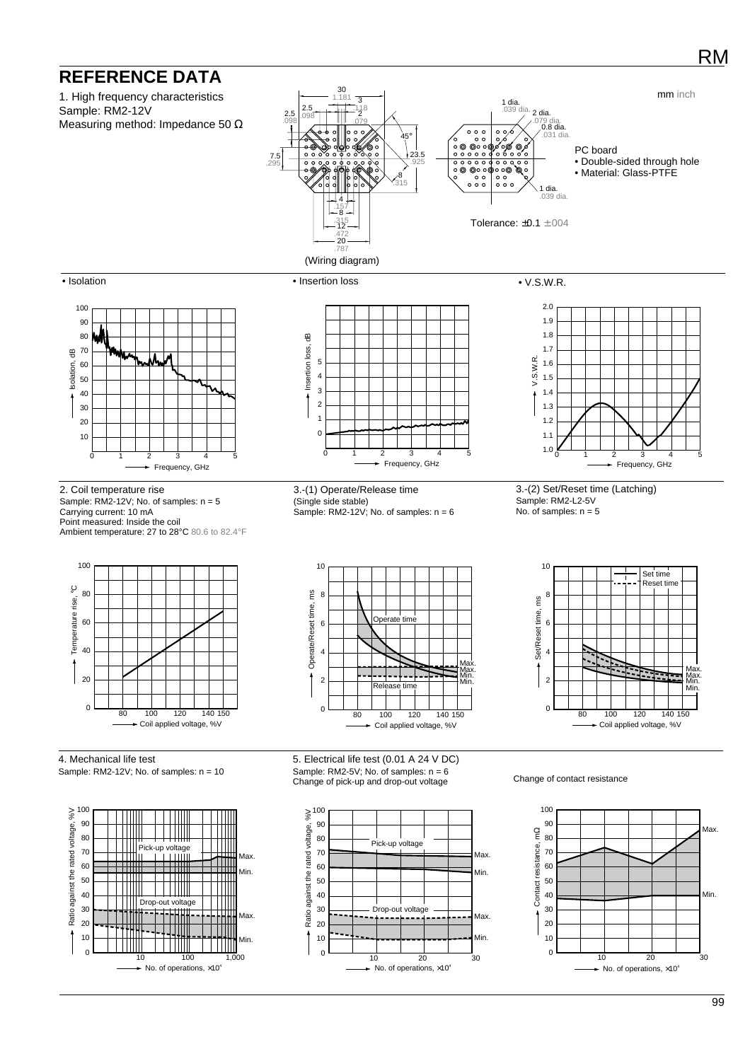# **REFERENCE DATA**

 $\epsilon$ 10

Min.

HII

 $\Omega$ 10 Min.

 $\mathbf{0}$ 10

10 20 30 No. of operations,  $\times 10^4$ 

 $\frac{1}{10}$  100 1,000  $\blacktriangleright$  No. of operations,  $\times 10^4$ 

Ш



10 20 30  $\blacktriangleright$  No. of operations,  $\times 10^4$ 

RM